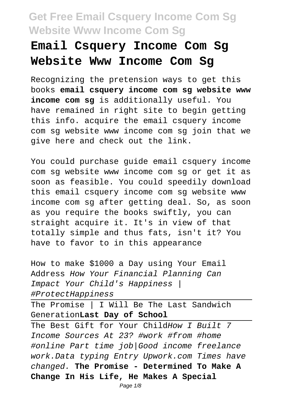## **Email Csquery Income Com Sg Website Www Income Com Sg**

Recognizing the pretension ways to get this books **email csquery income com sg website www income com sg** is additionally useful. You have remained in right site to begin getting this info. acquire the email csquery income com sg website www income com sg join that we give here and check out the link.

You could purchase guide email csquery income com sg website www income com sg or get it as soon as feasible. You could speedily download this email csquery income com sg website www income com sg after getting deal. So, as soon as you require the books swiftly, you can straight acquire it. It's in view of that totally simple and thus fats, isn't it? You have to favor to in this appearance

How to make \$1000 a Day using Your Email Address How Your Financial Planning Can Impact Your Child's Happiness | #ProtectHappiness

The Promise | I Will Be The Last Sandwich Generation**Last Day of School**

The Best Gift for Your ChildHow I Built 7 Income Sources At 23? #work #from #home #online Part time job|Good income freelance work.Data typing Entry Upwork.com Times have changed. **The Promise - Determined To Make A Change In His Life, He Makes A Special**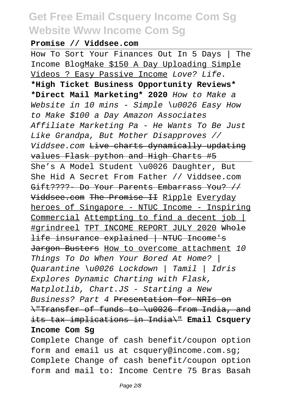#### **Promise // Viddsee.com**

How To Sort Your Finances Out In 5 Days | The Income BlogMake \$150 A Day Uploading Simple Videos ? Easy Passive Income Love? Life. **\*High Ticket Business Opportunity Reviews\* \*Direct Mail Marketing\* 2020** How to Make a Website in 10 mins - Simple \u0026 Easy How to Make \$100 a Day Amazon Associates Affiliate Marketing Pa - He Wants To Be Just Like Grandpa, But Mother Disapproves // Viddsee.com Live charts dynamically updating values Flask python and High Charts #5 She's A Model Student \u0026 Daughter, But She Hid A Secret From Father // Viddsee.com Gift????- Do Your Parents Embarrass You? // Viddsee.com The Promise II Ripple Everyday heroes of Singapore - NTUC Income - Inspiring Commercial Attempting to find a decent job | #grindreel TPT INCOME REPORT JULY 2020 Whole life insurance explained | NTUC Income's Jargon Busters How to overcome attachment 10 Things To Do When Your Bored At Home? | Quarantine \u0026 Lockdown | Tamil | Idris Explores Dynamic Charting with Flask, Matplotlib, Chart.JS - Starting a New Business? Part 4 Presentation for NRIs on \"Transfer of funds to \u0026 from India, and its tax implications in India\" **Email Csquery Income Com Sg**

Complete Change of cash benefit/coupon option form and email us at csquery@income.com.sg; Complete Change of cash benefit/coupon option form and mail to: Income Centre 75 Bras Basah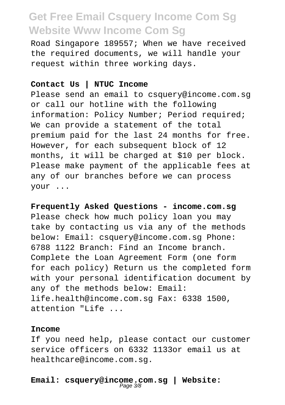Road Singapore 189557; When we have received the required documents, we will handle your request within three working days.

#### **Contact Us | NTUC Income**

Please send an email to csquery@income.com.sg or call our hotline with the following information: Policy Number; Period required; We can provide a statement of the total premium paid for the last 24 months for free. However, for each subsequent block of 12 months, it will be charged at \$10 per block. Please make payment of the applicable fees at any of our branches before we can process your ...

**Frequently Asked Questions - income.com.sg** Please check how much policy loan you may take by contacting us via any of the methods below: Email: csquery@income.com.sg Phone: 6788 1122 Branch: Find an Income branch. Complete the Loan Agreement Form (one form for each policy) Return us the completed form with your personal identification document by any of the methods below: Email: life.health@income.com.sg Fax: 6338 1500, attention "Life ...

#### **Income**

If you need help, please contact our customer service officers on 6332 1133or email us at healthcare@income.com.sg.

**Email: csquery@income.com.sg | Website:** Page 3/8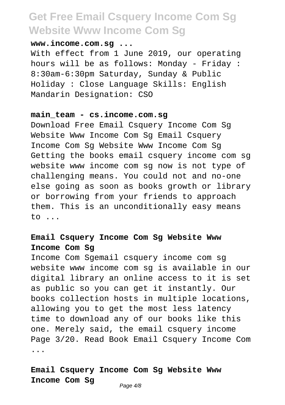### **www.income.com.sg ...**

With effect from 1 June 2019, our operating hours will be as follows: Monday - Friday : 8:30am-6:30pm Saturday, Sunday & Public Holiday : Close Language Skills: English Mandarin Designation: CSO

#### **main\_team - cs.income.com.sg**

Download Free Email Csquery Income Com Sg Website Www Income Com Sq Email Csquery Income Com Sg Website Www Income Com Sg Getting the books email csquery income com sg website www income com sg now is not type of challenging means. You could not and no-one else going as soon as books growth or library or borrowing from your friends to approach them. This is an unconditionally easy means to ...

### **Email Csquery Income Com Sg Website Www Income Com Sg**

Income Com Sgemail csquery income com sg website www income com sg is available in our digital library an online access to it is set as public so you can get it instantly. Our books collection hosts in multiple locations, allowing you to get the most less latency time to download any of our books like this one. Merely said, the email csquery income Page 3/20. Read Book Email Csquery Income Com ...

#### **Email Csquery Income Com Sg Website Www Income Com Sg**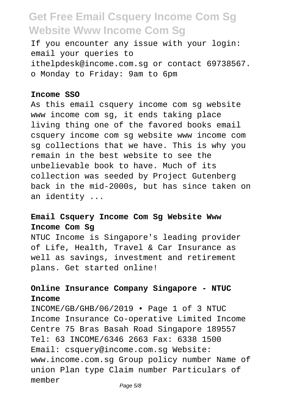If you encounter any issue with your login: email your queries to ithelpdesk@income.com.sg or contact 69738567. o Monday to Friday: 9am to 6pm

#### **Income SSO**

As this email csquery income com sg website www income com sg, it ends taking place living thing one of the favored books email csquery income com sg website www income com sg collections that we have. This is why you remain in the best website to see the unbelievable book to have. Much of its collection was seeded by Project Gutenberg back in the mid-2000s, but has since taken on an identity ...

### **Email Csquery Income Com Sg Website Www Income Com Sg**

NTUC Income is Singapore's leading provider of Life, Health, Travel & Car Insurance as well as savings, investment and retirement plans. Get started online!

### **Online Insurance Company Singapore - NTUC Income**

INCOME/GB/GHB/06/2019 • Page 1 of 3 NTUC Income Insurance Co-operative Limited Income Centre 75 Bras Basah Road Singapore 189557 Tel: 63 INCOME/6346 2663 Fax: 6338 1500 Email: csquery@income.com.sg Website: www.income.com.sg Group policy number Name of union Plan type Claim number Particulars of member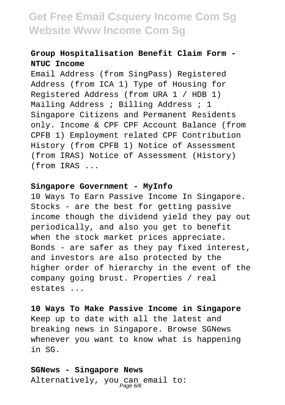### **Group Hospitalisation Benefit Claim Form - NTUC Income**

Email Address (from SingPass) Registered Address (from ICA 1) Type of Housing for Registered Address (from URA 1 / HDB 1) Mailing Address ; Billing Address ; 1 Singapore Citizens and Permanent Residents only. Income & CPF CPF Account Balance (from CPFB 1) Employment related CPF Contribution History (from CPFB 1) Notice of Assessment (from IRAS) Notice of Assessment (History) (from IRAS ...

#### **Singapore Government - MyInfo**

10 Ways To Earn Passive Income In Singapore. Stocks - are the best for getting passive income though the dividend yield they pay out periodically, and also you get to benefit when the stock market prices appreciate. Bonds - are safer as they pay fixed interest, and investors are also protected by the higher order of hierarchy in the event of the company going brust. Properties / real estates ...

## **10 Ways To Make Passive Income in Singapore**

Keep up to date with all the latest and breaking news in Singapore. Browse SGNews whenever you want to know what is happening in SG.

### **SGNews - Singapore News** Alternatively, you can email to:<br>Page 6/8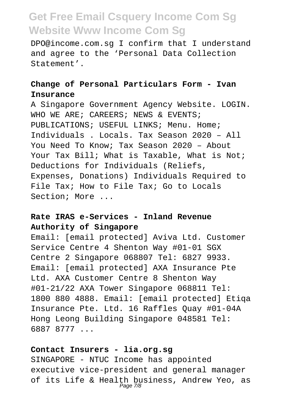DPO@income.com.sg I confirm that I understand and agree to the 'Personal Data Collection Statement'.

### **Change of Personal Particulars Form - Ivan Insurance**

A Singapore Government Agency Website. LOGIN. WHO WE ARE; CAREERS; NEWS & EVENTS; PUBLICATIONS; USEFUL LINKS; Menu. Home; Individuals . Locals. Tax Season 2020 – All You Need To Know; Tax Season 2020 – About Your Tax Bill; What is Taxable, What is Not; Deductions for Individuals (Reliefs, Expenses, Donations) Individuals Required to File Tax; How to File Tax; Go to Locals Section; More ...

### **Rate IRAS e-Services - Inland Revenue Authority of Singapore**

Email: [email protected] Aviva Ltd. Customer Service Centre 4 Shenton Way #01-01 SGX Centre 2 Singapore 068807 Tel: 6827 9933. Email: [email protected] AXA Insurance Pte Ltd. AXA Customer Centre 8 Shenton Way #01-21/22 AXA Tower Singapore 068811 Tel: 1800 880 4888. Email: [email protected] Etiqa Insurance Pte. Ltd. 16 Raffles Quay #01-04A Hong Leong Building Singapore 048581 Tel: 6887 8777 ...

#### **Contact Insurers - lia.org.sg**

SINGAPORE - NTUC Income has appointed executive vice-president and general manager of its Life & Health business, Andrew Yeo, as